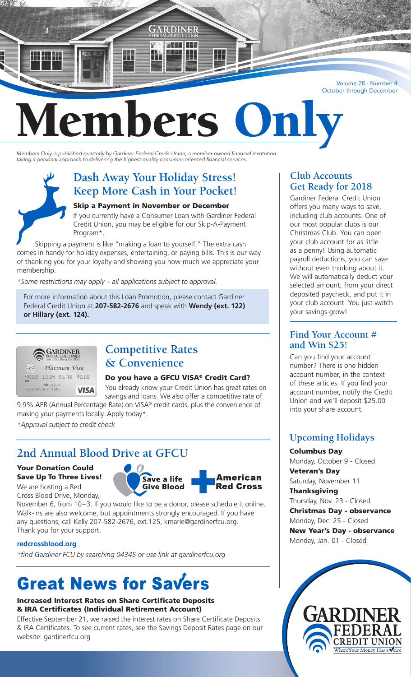Volume 28 · Number 4 October through December

# mbers

GARDINER

ZKAN ISBN 나 모

*Members Only is published quarterly by Gardiner Federal Credit Union, a member-owned financial institution taking a personal approach to delivering the highest quality consumer-oriented financial services.*

## **Dash Away Your Holiday Stress! Keep More Cash in Your Pocket!**

#### Skip a Payment in November or December

If you currently have a Consumer Loan with Gardiner Federal Credit Union, you may be eligible for our Skip-A-Payment Program\*.

Skipping a payment is like "making a loan to yourself." The extra cash comes in handy for holiday expenses, entertaining, or paying bills. This is our way of thanking you for your loyalty and showing you how much we appreciate your membership.

*\*Some restrictions may apply – all applications subject to approval.*

For more information about this Loan Promotion, please contact Gardiner Federal Credit Union at **207-582-2676** and speak with **Wendy (ext. 122) or Hillary (ext. 124).**



 $\frac{1}{2}$ 

## **Competitive Rates & Convenience**

#### Do you have a GFCU VISA® Credit Card?

You already know your Credit Union has great rates on **VISA** savings and loans. We also offer a competitive rate of 9.9% APR (Annual Percentage Rate) on VISA® credit cards, plus the convenience of making your payments locally. Apply today\*.

*\*Approval subject to credit check*

## **2nd Annual Blood Drive at GFCU**

#### Your Donation Could Save Up To Three Lives!

We are hosting a Red Cross Blood Drive, Monday,



November 6, from 10–3. If you would like to be a donor, please schedule it online. Walk-ins are also welcome, but appointments strongly encouraged. If you have any questions, call Kelly 207-582-2676, ext.125, kmarie@gardinerfcu.org. Thank you for your support.

#### **redcrossblood.org**

*\*find Gardiner FCU by searching 04345 or use link at gardinerfcu.org*

# **Great News for Savers**

#### Increased Interest Rates on Share Certificate Deposits & IRA Certificates (Individual Retirement Account)

Effective September 21, we raised the interest rates on Share Certificate Deposits & IRA Certificates. To see current rates, see the Savings Deposit Rates page on our website: gardinerfcu.org

#### **Club Accounts Get Ready for 2018**

Gardiner Federal Credit Union offers you many ways to save, including club accounts. One of our most popular clubs is our Christmas Club. You can open your club account for as little as a penny! Using automatic payroll deductions, you can save without even thinking about it. We will automatically deduct your selected amount, from your direct deposited paycheck, and put it in your club account. You just watch your savings grow!

### **Find Your Account # and Win \$25!**

Can you find your account number? There is one hidden account number, in the context of these articles. If you find your account number, notify the Credit Union and we'll deposit \$25.00 into your share account.

## **Upcoming Holidays**

Columbus Day Monday, October 9 - Closed Veteran's Day Saturday, November 11 **Thanksgiving** Thursday, Nov. 23 - Closed

Christmas Day - observance Monday, Dec. 25 - Closed New Year's Day - observance Monday, Jan. 01 - Closed

> **CREDIT UNION** WhereYour Money Has a